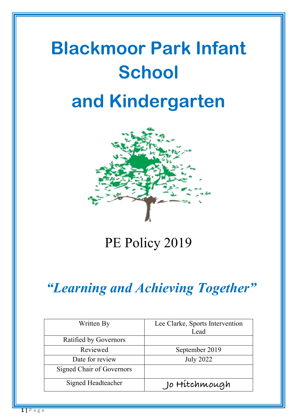# **Blackmoor Park Infant School and Kindergarten**



# PE Policy 2019

# *"Learning and Achieving Together"*

| Written By                       | Lee Clarke, Sports Intervention<br>Lead |  |
|----------------------------------|-----------------------------------------|--|
| <b>Ratified by Governors</b>     |                                         |  |
| Reviewed                         | September 2019                          |  |
| Date for review                  | <b>July 2022</b>                        |  |
| <b>Signed Chair of Governors</b> |                                         |  |
| Signed Headteacher               | Jo Hitchmough                           |  |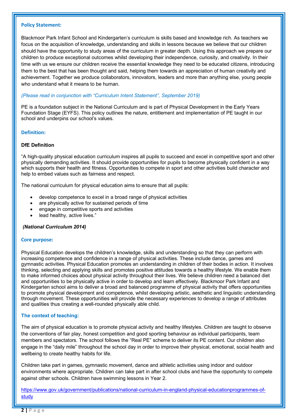#### **Policy Statement:**

Blackmoor Park Infant School and Kindergarten's curriculum is skills based and knowledge rich. As teachers we focus on the acquisition of knowledge, understanding and skills in lessons because we believe that our children should have the opportunity to study areas of the curriculum in greater depth. Using this approach we prepare our children to produce exceptional outcomes whilst developing their independence, curiosity, and creativity. In their time with us we ensure our children receive the essential knowledge they need to be educated citizens, introducing them to the best that has been thought and said, helping them towards an appreciation of human creativity and achievement. Together we produce collaborators, innovators, leaders and more than anything else, young people who understand what it means to be human.

#### *(Please read in conjunction with "Curriculum Intent Statement", September 2019)*

PE is a foundation subject in the National Curriculum and is part of Physical Development in the Early Years Foundation Stage (EYFS). This policy outlines the nature, entitlement and implementation of PE taught in our school and underpins our school's values.

#### **Definition:**

#### **DfE Definition**

"A high-quality physical education curriculum inspires all pupils to succeed and excel in competitive sport and other physically demanding activities. It should provide opportunities for pupils to become physically confident in a way which supports their health and fitness. Opportunities to compete in sport and other activities build character and help to embed values such as fairness and respect.

The national curriculum for physical education aims to ensure that all pupils:

- develop competence to excel in a broad range of physical activities
- are physically active for sustained periods of time
- engage in competitive sports and activities
- lead healthy, active lives."

#### *(National Curriculum 2014)*

#### **Core purpose:**

Physical Education develops the children's knowledge, skills and understanding so that they can perform with increasing competence and confidence in a range of physical activities. These include dance, games and gymnastic activities. Physical Education promotes an understanding in children of their bodies in action. It involves thinking, selecting and applying skills and promotes positive attitudes towards a healthy lifestyle. We enable them to make informed choices about physical activity throughout their lives. We believe children need a balanced diet and opportunities to be physically active in order to develop and learn effectively. Blackmoor Park Infant and Kindergarten school aims to deliver a broad and balanced programme of physical activity that offers opportunities to promote physical development and competence, whilst developing artistic, aesthetic and linguistic understanding through movement. These opportunities will provide the necessary experiences to develop a range of attributes and qualities thus creating a well-rounded physically able child.

#### **The context of teaching:**

The aim of physical education is to promote physical activity and healthy lifestyles. Children are taught to observe the conventions of fair play, honest competition and good sporting behaviour as individual participants, team members and spectators. The school follows the "Real PE" scheme to deliver its PE content. Our children also engage in the "daily mile" throughout the school day in order to improve their physical, emotional, social health and wellbeing to create healthy habits for life.

Children take part in games, gymnastic movement, dance and athletic activities using indoor and outdoor environments where appropriate. Children can take part in after school clubs and have the opportunity to compete against other schools. Children have swimming lessons in Year 2.

https://www.gov.uk/government/publications/national-curriculum-in-england-physical-educationprogrammes-ofstudy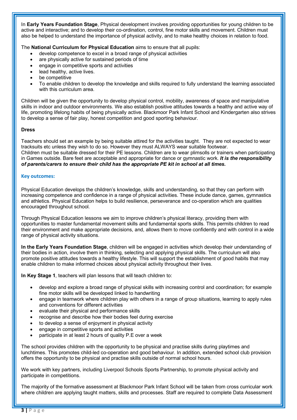In **Early Years Foundation Stage**, Physical development involves providing opportunities for young children to be active and interactive; and to develop their co-ordination, control, fine motor skills and movement. Children must also be helped to understand the importance of physical activity, and to make healthy choices in relation to food.

The **National Curriculum for Physical Education** aims to ensure that all pupils:

- develop competence to excel in a broad range of physical activities
- are physically active for sustained periods of time
- engage in competitive sports and activities
- lead healthy, active lives.
- be competitive
- To enable children to develop the knowledge and skills required to fully understand the learning associated with this curriculum area.

Children will be given the opportunity to develop physical control, mobility, awareness of space and manipulative skills in indoor and outdoor environments. We also establish positive attitudes towards a healthy and active way of life, promoting lifelong habits of being physically active. Blackmoor Park Infant School and Kindergarten also strives to develop a sense of fair play, honest competition and good sporting behaviour.

#### **Dress**

Teachers should set an example by being suitable attired for the activities taught. They are not expected to wear tracksuits etc unless they wish to do so. However they must ALWAYS wear suitable footwear. Children must be suitable dressed for their PE lessons. Children are to wear plimsolls or trainers when participating in Games outside. Bare feet are acceptable and appropriate for dance or gymnastic work. *It is the responsibility of parents/carers to ensure their child has the appropriate PE kit in school at all times.*

#### **Key outcomes:**

Physical Education develops the children's knowledge, skills and understanding, so that they can perform with increasing competence and confidence in a range of physical activities. These include dance, games, gymnastics and athletics. Physical Education helps to build resilience, perseverance and co-operation which are qualities encouraged throughout school.

Through Physical Education lessons we aim to improve children's physical literacy, providing them with opportunities to master fundamental movement skills and fundamental sports skills. This permits children to read their environment and make appropriate decisions, and, allows them to move confidently and with control in a wide range of physical activity situations.

**In the Early Years Foundation Stage**, children will be engaged in activities which develop their understanding of their bodies in action, involve them in thinking, selecting and applying physical skills. The curriculum will also promote positive attitudes towards a healthy lifestyle. This will support the establishment of good habits that may enable children to make informed choices about physical activity throughout their lives.

**In Key Stage 1**, teachers will plan lessons that will teach children to:

- develop and explore a broad range of physical skills with increasing control and coordination; for example fine motor skills will be developed linked to handwriting
- engage in teamwork where children play with others in a range of group situations, learning to apply rules and conventions for different activities
- evaluate their physical and performance skills
- recognise and describe how their bodies feel during exercise
- to develop a sense of enjoyment in physical activity
- engage in competitive sports and activities
- participate in at least 2 hours of quality P.E over a week

The school provides children with the opportunity to be physical and practise skills during playtimes and lunchtimes. This promotes child-led co-operation and good behaviour. In addition, extended school club provision offers the opportunity to be physical and practise skills outside of normal school hours.

We work with key partners, including Liverpool Schools Sports Partnership, to promote physical activity and participate in competitions.

The majority of the formative assessment at Blackmoor Park Infant School will be taken from cross curricular work where children are applying taught matters, skills and processes. Staff are required to complete Data Assessment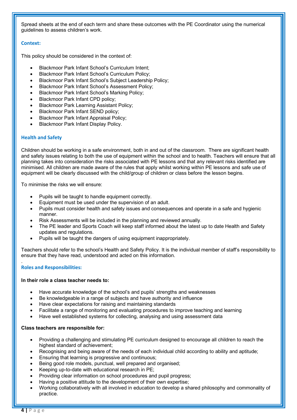Spread sheets at the end of each term and share these outcomes with the PE Coordinator using the numerical guidelines to assess children's work.

## **Context:**

This policy should be considered in the context of:

- Blackmoor Park Infant School's Curriculum Intent;
- Blackmoor Park Infant School's Curriculum Policy;
- Blackmoor Park Infant School's Subject Leadership Policy;
- Blackmoor Park Infant School's Assessment Policy;
- Blackmoor Park Infant School's Marking Policy;
- Blackmoor Park Infant CPD policy;
- Blackmoor Park Learning Assistant Policy;
- Blackmoor Park Infant SEND policy;
- Blackmoor Park Infant Appraisal Policy;
- Blackmoor Park Infant Display Policy.

## **Health and Safety**

Children should be working in a safe environment, both in and out of the classroom. There are significant health and safety issues relating to both the use of equipment within the school and to health. Teachers will ensure that all planning takes into consideration the risks associated with PE lessons and that any relevant risks identified are minimised. All children are made aware of the rules that apply whilst working within PE lessons and safe use of equipment will be clearly discussed with the child/group of children or class before the lesson begins.

To minimise the risks we will ensure:

- Pupils will be taught to handle equipment correctly.
- Equipment must be used under the supervision of an adult.
- Pupils must consider health and safety issues and consequences and operate in a safe and hygienic manner.
- Risk Assessments will be included in the planning and reviewed annually.
- The PE leader and Sports Coach will keep staff informed about the latest up to date Health and Safety updates and regulations.
- Pupils will be taught the dangers of using equipment inappropriately.

Teachers should refer to the school's Health and Safety Policy. It is the individual member of staff's responsibility to ensure that they have read, understood and acted on this information.

#### **Roles and Responsibilities:**

.

#### **In their role a class teacher needs to:**

- Have accurate knowledge of the school's and pupils' strengths and weaknesses
- Be knowledgeable in a range of subjects and have authority and influence
- Have clear expectations for raising and maintaining standards
- Facilitate a range of monitoring and evaluating procedures to improve teaching and learning
- Have well established systems for collecting, analysing and using assessment data

#### **Class teachers are responsible for:**

- Providing a challenging and stimulating PE curriculum designed to encourage all children to reach the highest standard of achievement;
- Recognising and being aware of the needs of each individual child according to ability and aptitude;
- Ensuring that learning is progressive and continuous;
- Being good role models, punctual, well prepared and organised;
- Keeping up-to-date with educational research in PE;
- Providing clear information on school procedures and pupil progress;
- Having a positive attitude to the development of their own expertise;
- Working collaboratively with all involved in education to develop a shared philosophy and commonality of practice.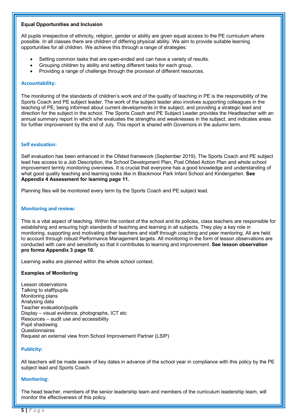#### **Equal Opportunities and Inclusion**

All pupils irrespective of ethnicity, religion, gender or ability are given equal access to the PE curriculum where possible. In all classes there are children of differing physical ability. We aim to provide suitable learning opportunities for all children. We achieve this through a range of strategies:

- Setting common tasks that are open-ended and can have a variety of results.
- Grouping children by ability and setting different tasks for each group.
- Providing a range of challenge through the provision of different resources.

#### **Accountability:**

The monitoring of the standards of children's work and of the quality of teaching in PE is the responsibility of the Sports Coach and PE subject leader. The work of the subject leader also involves supporting colleagues in the teaching of PE, being informed about current developments in the subject, and providing a strategic lead and direction for the subject in the school. The Sports Coach and PE Subject Leader provides the Headteacher with an annual summary report in which s/he evaluates the strengths and weaknesses in the subject, and indicates areas for further improvement by the end of July. This report is shared with Governors in the autumn term.

#### **Self evaluation:**

Self evaluation has been enhanced in the Ofsted framework (September 2019). The Sports Coach and PE subject lead has access to a Job Description, the School Development Plan, Post Ofsted Action Plan and whole school improvement termly monitoring overviews. It is crucial that everyone has a good knowledge and understanding of what good quality teaching and learning looks like in Blackmoor Park Infant School and Kindergarten. **See Appendix 4 Assessment for learning page 11.**

Planning files will be monitored every term by the Sports Coach and PE subject lead.

#### **Monitoring and review:**

This is a vital aspect of teaching. Within the context of the school and its policies, class teachers are responsible for establishing and ensuring high standards of teaching and learning in all subjects. They play a key role in monitoring, supporting and motivating other teachers and staff through coaching and peer mentoring. All are held to account through robust Performance Management targets. All monitoring in the form of lesson observations are conducted with care and sensitivity so that it contributes to learning and improvement. **See lesson observation pro forma Appendix 3 page 10.**

Learning walks are planned within the whole school context.

#### **Examples of Monitoring**

Lesson observations Talking to staff/pupils Monitoring plans Analysing data Teacher evaluation/pupils Display – visual evidence, photographs, ICT etc Resources – audit use and accessibility Pupil shadowing Questionnaires Request an external view from School Improvement Partner (LSIP)

#### **Publicity:**

All teachers will be made aware of key dates in advance of the school year in compliance with this policy by the PE subject lead and Sports Coach.

#### **Monitoring:**

The head teacher, members of the senior leadership team and members of the curriculum leadership team, will monitor the effectiveness of this policy.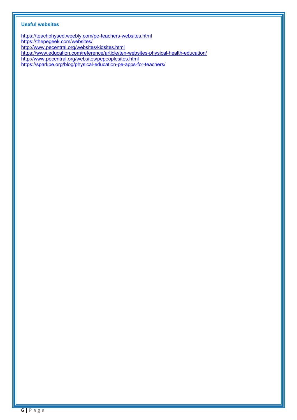#### **Useful websites**

https://teachphysed.weebly.com/pe-teachers-websites.html https://thepegeek.com/websites/ http://www.pecentral.org/websites/kidsites.html https://www.education.com/reference/article/ten-websites-physical-health-education/ http://www.pecentral.org/websites/pepeoplesites.html https://sparkpe.org/blog/physical-education-pe-apps-for-teachers/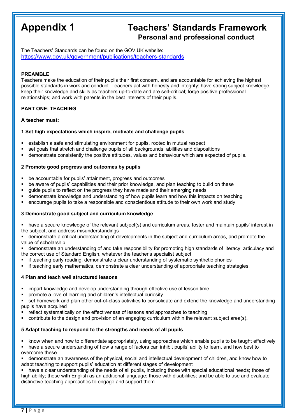# **Appendix 1 Teachers' Standards Framework Personal and professional conduct**

The Teachers' Standards can be found on the GOV.UK website: https://www.gov.uk/government/publications/teachers-standards

#### **PREAMBLE**

Teachers make the education of their pupils their first concern, and are accountable for achieving the highest possible standards in work and conduct. Teachers act with honesty and integrity; have strong subject knowledge, keep their knowledge and skills as teachers up-to-date and are self-critical; forge positive professional relationships; and work with parents in the best interests of their pupils.

## **PART ONE: TEACHING**

#### **A teacher must:**

## **1 Set high expectations which inspire, motivate and challenge pupils**

- establish a safe and stimulating environment for pupils, rooted in mutual respect
- set goals that stretch and challenge pupils of all backgrounds, abilities and dispositions
- § demonstrate consistently the positive attitudes, values and behaviour which are expected of pupils.

## **2 Promote good progress and outcomes by pupils**

- be accountable for pupils' attainment, progress and outcomes
- be aware of pupils' capabilities and their prior knowledge, and plan teaching to build on these
- quide pupils to reflect on the progress they have made and their emerging needs
- demonstrate knowledge and understanding of how pupils learn and how this impacts on teaching
- encourage pupils to take a responsible and conscientious attitude to their own work and study.

## **3 Demonstrate good subject and curriculum knowledge**

§ have a secure knowledge of the relevant subject(s) and curriculum areas, foster and maintain pupils' interest in the subject, and address misunderstandings

demonstrate a critical understanding of developments in the subject and curriculum areas, and promote the value of scholarship

■ demonstrate an understanding of and take responsibility for promoting high standards of literacy, articulacy and the correct use of Standard English, whatever the teacher's specialist subject

- if teaching early reading, demonstrate a clear understanding of systematic synthetic phonics
- § if teaching early mathematics, demonstrate a clear understanding of appropriate teaching strategies.

#### **4 Plan and teach well structured lessons**

- § impart knowledge and develop understanding through effective use of lesson time
- promote a love of learning and children's intellectual curiosity

§ set homework and plan other out-of-class activities to consolidate and extend the knowledge and understanding pupils have acquired

- reflect systematically on the effectiveness of lessons and approaches to teaching
- § contribute to the design and provision of an engaging curriculum within the relevant subject area(s).

## **5 Adapt teaching to respond to the strengths and needs of all pupils**

§ know when and how to differentiate appropriately, using approaches which enable pupils to be taught effectively

have a secure understanding of how a range of factors can inhibit pupils' ability to learn, and how best to overcome these

§ demonstrate an awareness of the physical, social and intellectual development of children, and know how to adapt teaching to support pupils' education at different stages of development

• have a clear understanding of the needs of all pupils, including those with special educational needs; those of high ability; those with English as an additional language; those with disabilities; and be able to use and evaluate distinctive teaching approaches to engage and support them.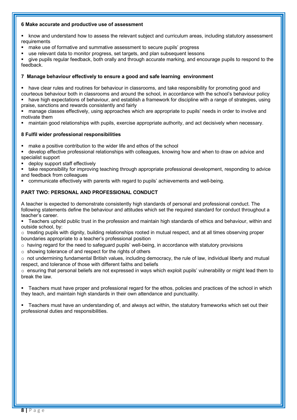#### **6 Make accurate and productive use of assessment**

§ know and understand how to assess the relevant subject and curriculum areas, including statutory assessment requirements

make use of formative and summative assessment to secure pupils' progress

§ use relevant data to monitor progress, set targets, and plan subsequent lessons

give pupils regular feedback, both orally and through accurate marking, and encourage pupils to respond to the feedback.

#### **7 Manage behaviour effectively to ensure a good and safe learning environment**

have clear rules and routines for behaviour in classrooms, and take responsibility for promoting good and courteous behaviour both in classrooms and around the school, in accordance with the school's behaviour policy

§ have high expectations of behaviour, and establish a framework for discipline with a range of strategies, using praise, sanctions and rewards consistently and fairly

■ manage classes effectively, using approaches which are appropriate to pupils' needs in order to involve and motivate them

maintain good relationships with pupils, exercise appropriate authority, and act decisively when necessary.

#### **8 Fulfil wider professional responsibilities**

make a positive contribution to the wider life and ethos of the school

develop effective professional relationships with colleagues, knowing how and when to draw on advice and specialist support

- deploy support staff effectively
- take responsibility for improving teaching through appropriate professional development, responding to advice and feedback from colleagues
- § communicate effectively with parents with regard to pupils' achievements and well-being.

## **PART TWO: PERSONAL AND PROFESSIONAL CONDUCT**

A teacher is expected to demonstrate consistently high standards of personal and professional conduct. The following statements define the behaviour and attitudes which set the required standard for conduct throughout a teacher's career.

§ Teachers uphold public trust in the profession and maintain high standards of ethics and behaviour, within and outside school, by:

 $\circ$  treating pupils with dignity, building relationships rooted in mutual respect, and at all times observing proper boundaries appropriate to a teacher's professional position

- $\circ$  having regard for the need to safeguard pupils' well-being, in accordance with statutory provisions
- $\circ$  showing tolerance of and respect for the rights of others

 $\circ$  not undermining fundamental British values, including democracy, the rule of law, individual liberty and mutual respect, and tolerance of those with different faiths and beliefs

 $\circ$  ensuring that personal beliefs are not expressed in ways which exploit pupils' vulnerability or might lead them to break the law.

Teachers must have proper and professional regard for the ethos, policies and practices of the school in which they teach, and maintain high standards in their own attendance and punctuality.

Teachers must have an understanding of, and always act within, the statutory frameworks which set out their professional duties and responsibilities.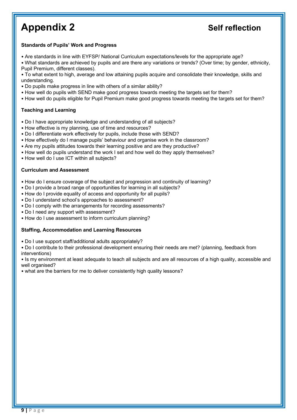## **Appendix 2 Self reflection**

#### **Standards of Pupils' Work and Progress**

• Are standards in line with EYFSP/ National Curriculum expectations/levels for the appropriate age?

• What standards are achieved by pupils and are there any variations or trends? (Over time; by gender, ethnicity, Pupil Premium, different classes).

• To what extent to high, average and low attaining pupils acquire and consolidate their knowledge, skills and understanding.

- Do pupils make progress in line with others of a similar ability?
- How well do pupils with SEND make good progress towards meeting the targets set for them?
- How well do pupils eligible for Pupil Premium make good progress towards meeting the targets set for them?

#### **Teaching and Learning**

- Do I have appropriate knowledge and understanding of all subjects?
- How effective is my planning, use of time and resources?
- Do I differentiate work effectively for pupils, include those with SEND?
- How effectively do I manage pupils' behaviour and organise work in the classroom?
- Are my pupils attitudes towards their learning positive and are they productive?
- How well do pupils understand the work I set and how well do they apply themselves?
- How well do I use ICT within all subjects?

#### **Curriculum and Assessment**

- How do I ensure coverage of the subject and progression and continuity of learning?
- Do I provide a broad range of opportunities for learning in all subjects?
- How do I provide equality of access and opportunity for all pupils?
- Do I understand school's approaches to assessment?
- Do I comply with the arrangements for recording assessments?
- Do I need any support with assessment?
- How do I use assessment to inform curriculum planning?

#### **Staffing, Accommodation and Learning Resources**

• Do I use support staff/additional adults appropriately?

• Do I contribute to their professional development ensuring their needs are met? (planning, feedback from interventions)

• Is my environment at least adequate to teach all subjects and are all resources of a high quality, accessible and well organised?

• what are the barriers for me to deliver consistently high quality lessons?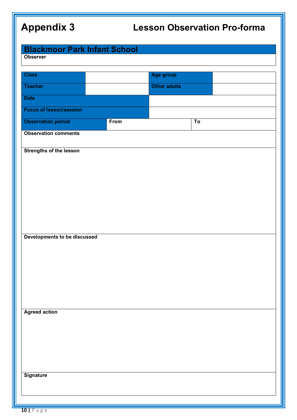# **Appendix 3 Lesson Observation Pro-forma**

| <b>Blackmoor Park Infant School</b><br><b>Observer</b> |      |                     |    |
|--------------------------------------------------------|------|---------------------|----|
|                                                        |      |                     |    |
| <b>Class</b>                                           |      | Age group           |    |
| <b>Teacher</b>                                         |      | <b>Other adults</b> |    |
| <b>Date</b>                                            |      |                     |    |
| <b>Focus of lesson/session</b>                         |      |                     |    |
| <b>Observation period</b>                              | From |                     | To |
| <b>Observation comments</b>                            |      |                     |    |
|                                                        |      |                     |    |
| Strengths of the lesson                                |      |                     |    |
|                                                        |      |                     |    |
|                                                        |      |                     |    |
|                                                        |      |                     |    |
|                                                        |      |                     |    |
|                                                        |      |                     |    |
|                                                        |      |                     |    |
|                                                        |      |                     |    |
| <b>Developments to be discussed</b>                    |      |                     |    |
|                                                        |      |                     |    |
|                                                        |      |                     |    |
|                                                        |      |                     |    |
|                                                        |      |                     |    |
|                                                        |      |                     |    |
|                                                        |      |                     |    |
| <b>Agreed action</b>                                   |      |                     |    |
|                                                        |      |                     |    |
|                                                        |      |                     |    |
|                                                        |      |                     |    |
|                                                        |      |                     |    |
|                                                        |      |                     |    |
| <b>Signature</b>                                       |      |                     |    |
|                                                        |      |                     |    |
|                                                        |      |                     |    |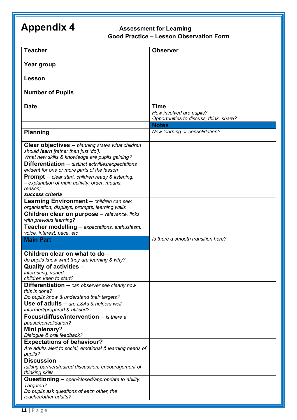## Appendix 4 Assessment for Learning  **Good Practice – Lesson Observation Form**

| <b>Teacher</b>                                                                                                                               | <b>Observer</b>                                                                    |
|----------------------------------------------------------------------------------------------------------------------------------------------|------------------------------------------------------------------------------------|
| <b>Year group</b>                                                                                                                            |                                                                                    |
| Lesson                                                                                                                                       |                                                                                    |
| <b>Number of Pupils</b>                                                                                                                      |                                                                                    |
| <b>Date</b>                                                                                                                                  | <b>Time</b><br>How involved are pupils?<br>Opportunities to discuss, think, share? |
|                                                                                                                                              | <b>Notes</b>                                                                       |
| <b>Planning</b>                                                                                                                              | New learning or consolidation?                                                     |
| Clear objectives - planning states what children<br>should learn [rather than just 'do'].<br>What new skills & knowledge are pupils gaining? |                                                                                    |
| <b>Differentiation</b> - distinct activities/expectations<br>evident for one or more parts of the lesson                                     |                                                                                    |
| <b>Prompt</b> – clear start, children ready & listening.<br>- explanation of main activity: order, means,<br>reason;<br>success criteria     |                                                                                    |
| Learning Environment - children can see;<br>organisation, displays, prompts, learning walls                                                  |                                                                                    |
| Children clear on purpose - relevance, links<br>with previous learning?                                                                      |                                                                                    |
| Teacher modelling - expectations, enthusiasm,<br>voice, interest, pace, etc                                                                  |                                                                                    |
| <b>Main Part</b>                                                                                                                             | Is there a smooth transition here?                                                 |
| Children clear on what to do -                                                                                                               |                                                                                    |
| do pupils know what they are learning & why?                                                                                                 |                                                                                    |
| Quality of activities -                                                                                                                      |                                                                                    |
| interesting, varied,                                                                                                                         |                                                                                    |
| children keen to start?                                                                                                                      |                                                                                    |
| <b>Differentiation</b> $-$ can observer see clearly how<br>this is done?                                                                     |                                                                                    |
| Do pupils know & understand their targets?                                                                                                   |                                                                                    |
| Use of adults $-$ are LSAs & helpers well<br>informed/prepared & utilised?                                                                   |                                                                                    |
| <b>Focus/diffuse/intervention</b> $-$ is there a<br>pause/consolidation?                                                                     |                                                                                    |
| Mini plenary?                                                                                                                                |                                                                                    |
| Dialogue & oral feedback?                                                                                                                    |                                                                                    |
| <b>Expectations of behaviour?</b>                                                                                                            |                                                                                    |
| Are adults alert to social, emotional & learning needs of<br>pupils?                                                                         |                                                                                    |
| Discussion-<br>talking partners/paired discussion, encouragement of<br>thinking skills                                                       |                                                                                    |
| <b>Questioning</b> $-$ open/closed/appropriate to ability.                                                                                   |                                                                                    |
| Targeted?<br>Do pupils ask questions of each other, the<br>teacher/other adults?                                                             |                                                                                    |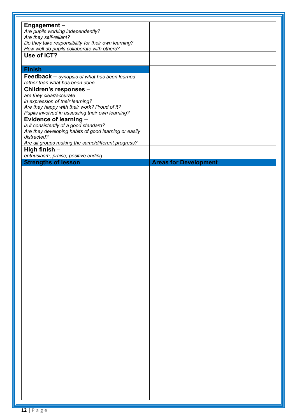| Engagement-                                           |                              |
|-------------------------------------------------------|------------------------------|
| Are pupils working independently?                     |                              |
| Are they self-reliant?                                |                              |
| Do they take responsibility for their own learning?   |                              |
| How well do pupils collaborate with others?           |                              |
| Use of ICT?                                           |                              |
|                                                       |                              |
|                                                       |                              |
| <b>Finish</b>                                         |                              |
| Feedback - synopsis of what has been learned          |                              |
| rather than what has been done                        |                              |
| Children's responses -                                |                              |
| are they clear/accurate                               |                              |
| in expression of their learning?                      |                              |
| Are they happy with their work? Proud of it?          |                              |
| Pupils involved in assessing their own learning?      |                              |
| Evidence of learning -                                |                              |
| is it consistently of a good standard?                |                              |
| Are they developing habits of good learning or easily |                              |
| distracted?                                           |                              |
| Are all groups making the same/different progress?    |                              |
| High finish -                                         |                              |
| enthusiasm, praise, positive ending                   |                              |
| <b>Strengths of lesson</b>                            | <b>Areas for Development</b> |
|                                                       |                              |
|                                                       |                              |
|                                                       |                              |
|                                                       |                              |
|                                                       |                              |
|                                                       |                              |
|                                                       |                              |
|                                                       |                              |
|                                                       |                              |
|                                                       |                              |
|                                                       |                              |
|                                                       |                              |
|                                                       |                              |
|                                                       |                              |
|                                                       |                              |
|                                                       |                              |
|                                                       |                              |
|                                                       |                              |
|                                                       |                              |
|                                                       |                              |
|                                                       |                              |
|                                                       |                              |
|                                                       |                              |
|                                                       |                              |
|                                                       |                              |
|                                                       |                              |
|                                                       |                              |
|                                                       |                              |
|                                                       |                              |
|                                                       |                              |
|                                                       |                              |
|                                                       |                              |
|                                                       |                              |
|                                                       |                              |
|                                                       |                              |
|                                                       |                              |
|                                                       |                              |
|                                                       |                              |
|                                                       |                              |
|                                                       |                              |
|                                                       |                              |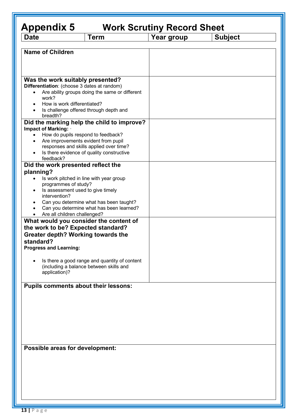| <b>Appendix 5</b>                                                                                                                                                                                                                                                                                                                                                                                                                                    |                                                                                                                                      | <b>Work Scrutiny Record Sheet</b> |                |
|------------------------------------------------------------------------------------------------------------------------------------------------------------------------------------------------------------------------------------------------------------------------------------------------------------------------------------------------------------------------------------------------------------------------------------------------------|--------------------------------------------------------------------------------------------------------------------------------------|-----------------------------------|----------------|
| <b>Date</b>                                                                                                                                                                                                                                                                                                                                                                                                                                          | <b>Term</b>                                                                                                                          | Year group                        | <b>Subject</b> |
| <b>Name of Children</b>                                                                                                                                                                                                                                                                                                                                                                                                                              |                                                                                                                                      |                                   |                |
| Was the work suitably presented?<br>Differentiation: (choose 3 dates at random)<br>work?<br>How is work differentiated?<br>Is challenge offered through depth and<br>breadth?                                                                                                                                                                                                                                                                        | Are ability groups doing the same or different                                                                                       |                                   |                |
| Did the marking help the child to improve?<br>Impact of Marking: .<br>How do pupils respond to feedback?<br>$\bullet$<br>Are improvements evident from pupil<br>٠<br>responses and skills applied over time?<br>Is there evidence of quality constructive<br>٠<br>feedback?                                                                                                                                                                          |                                                                                                                                      |                                   |                |
| Did the work presented reflect the<br>planning?<br>Is work pitched in line with year group<br>programmes of study?<br>Is assessment used to give timely<br>intervention?<br>Are all children challenged?<br>What would you consider the content of<br>the work to be? Expected standard?<br><b>Greater depth? Working towards the</b><br>standard?<br><b>Progress and Learning:</b><br>٠<br>(including a balance between skills and<br>application)? | Can you determine what has been taught?<br>Can you determine what has been learned?<br>Is there a good range and quantity of content |                                   |                |
| Pupils comments about their lessons:<br>Possible areas for development:                                                                                                                                                                                                                                                                                                                                                                              |                                                                                                                                      |                                   |                |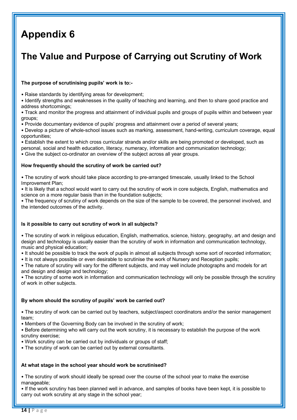# **Appendix 6**

## **The Value and Purpose of Carrying out Scrutiny of Work**

#### **The purpose of scrutinising pupils' work is to:-**

• Raise standards by identifying areas for development;

• Identify strengths and weaknesses in the quality of teaching and learning, and then to share good practice and address shortcomings;

• Track and monitor the progress and attainment of individual pupils and groups of pupils within and between year groups;

• Provide documentary evidence of pupils' progress and attainment over a period of several years;

• Develop a picture of whole-school issues such as marking, assessment, hand-writing, curriculum coverage, equal opportunities;

• Establish the extent to which cross curricular strands and/or skills are being promoted or developed, such as personal, social and health education, literacy, numeracy, information and communication technology;

• Give the subject co-ordinator an overview of the subject across all year groups.

#### **How frequently should the scrutiny of work be carried out?**

• The scrutiny of work should take place according to pre-arranged timescale, usually linked to the School Improvement Plan;

• It is likely that a school would want to carry out the scrutiny of work in core subjects, English, mathematics and science on a more regular basis than in the foundation subjects;

• The frequency of scrutiny of work depends on the size of the sample to be covered, the personnel involved, and the intended outcomes of the activity.

#### **Is it possible to carry out scrutiny of work in all subjects?**

• The scrutiny of work in religious education, English, mathematics, science, history, geography, art and design and design and technology is usually easier than the scrutiny of work in information and communication technology, music and physical education;

- It should be possible to track the work of pupils in almost all subjects through some sort of recorded information;
- It is not always possible or even desirable to scrutinise the work of Nursery and Reception pupils;

• The nature of scrutiny will vary for the different subjects, and may well include photographs and models for art and design and design and technology;

• The scrutiny of some work in information and communication technology will only be possible through the scrutiny of work in other subjects.

#### **By whom should the scrutiny of pupils' work be carried out?**

• The scrutiny of work can be carried out by teachers, subject/aspect coordinators and/or the senior management team;

• Members of the Governing Body can be involved in the scrutiny of work;

• Before determining who will carry out the work scrutiny, it is necessary to establish the purpose of the work scrutiny exercise;

• Work scrutiny can be carried out by individuals or groups of staff:

• The scrutiny of work can be carried out by external consultants.

#### **At what stage in the school year should work be scrutinised?**

• The scrutiny of work should ideally be spread over the course of the school year to make the exercise manageable;

• If the work scrutiny has been planned well in advance, and samples of books have been kept, it is possible to carry out work scrutiny at any stage in the school year;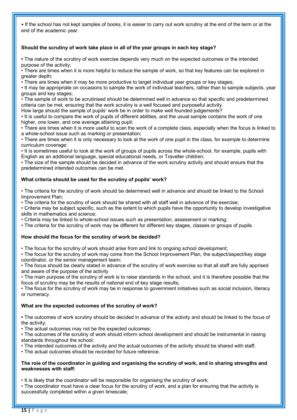• If the school has not kept samples of books, it is easier to carry out work scrutiny at the end of the term or at the end of the academic year.

## **Should the scrutiny of work take place in all of the year groups in each key stage?**

**•** The nature of the scrutiny of work exercise depends very much on the expected outcomes or the intended purpose of the activity;

• There are times when it is more helpful to reduce the sample of work, so that key features can be explored in greater depth;

• There are times when it may be more productive to target individual year groups or key stages;

• It may be appropriate on occasions to sample the work of individual teachers, rather than to sample subjects, year groups and key stages;

• The sample of work to be scrutinised should be determined well in advance so that specific and predetermined criteria can be met, ensuring that the work scrutiny is a well focused and purposeful activity.

How large should the sample of pupils' work be in order to make well founded judgements?

• It is useful to compare the work of pupils of different abilities, and the usual sample contains the work of one higher, one lower, and one average attaining pupil;

• There are times when it is more useful to scan the work of a complete class, especially when the focus is linked to a whole-school issue such as marking or presentation;

• There are times when it is only necessary to look at the work of one pupil in the class, for example to determine curriculum coverage;

• It is sometimes useful to look at the work of groups of pupils across the whole-school, for example, pupils with English as an additional language, special educational needs, or Traveller children;

• The size of the sample should be decided in advance of the work scrutiny activity and should ensure that the predetermined intended outcomes can be met.

#### **What criteria should be used for the scrutiny of pupils' work?**

• The criteria for the scrutiny of work should be determined well in advance and should be linked to the School Improvement Plan;

• The criteria for the scrutiny of work should be shared with all staff well in advance of the exercise;

• Criteria may be subject specific, such as the extent to which pupils have the opportunity to develop investigative skills in mathematics and science;

- Criteria may be linked to whole-school issues such as presentation, assessment or marking;
- The criteria for the scrutiny of work may be different for different key stages, classes or groups of pupils.

#### **How should the focus for the scrutiny of work be decided?**

• The focus for the scrutiny of work should arise from and link to ongoing school development;

• The focus for the scrutiny of work may come from the School Improvement Plan, the subject/aspect/key stage coordinator, or the senior management team;

• The focus should be clearly stated in advance of the scrutiny of work exercise so that all staff are fully apprised and aware of the purpose of the activity

• The main purpose of the scrutiny of work is to raise standards in the school, and it is therefore possible that the focus of scrutiny may be the results of national end of key stage results;

• The focus for the scrutiny of work may be in response to government initiatives such as social inclusion, literacy or numeracy.

#### **What are the expected outcomes of the scrutiny of work?**

**•** The outcomes of work scrutiny should be decided in advance of the activity and should be linked to the focus of the activity;

• The actual outcomes may not be the expected outcomes;

• The outcomes of the scrutiny of work should inform school development and should be instrumental in raising standards throughout the school;

- The intended outcomes of the activity and the actual outcomes of the activity should be shared with staff;
- The actual outcomes should be recorded for future reference.

#### **The role of the coordinator in guiding and organising the scrutiny of work, and in sharing strengths and weaknesses with staff:**

• It is likely that the coordinator will be responsible for organising the scrutiny of work;

• The coordinator must have a clear focus for the scrutiny of work, and a plan for ensuring that the activity is successfully completed within a given timescale;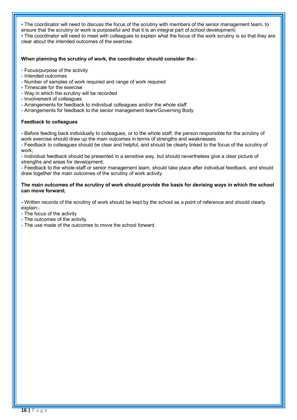• The coordinator will need to discuss the focus of the scrutiny with members of the senior management team, to ensure that the scrutiny or work is purposeful and that it is an integral part of school development;

• The coordinator will need to meet with colleagues to explain what the focus of the work scrutiny is so that they are clear about the intended outcomes of the exercise.

#### **When planning the scrutiny of work, the coordinator should consider the**:-

- Focus/purpose of the activity
- Intended outcomes
- Number of samples of work required and range of work required
- **-** Timescale for the exercise
- Way in which the scrutiny will be recorded
- Involvement of colleagues
- Arrangements for feedback to individual colleagues and/or the whole staff
- Arrangements for feedback to the senior management team/Governing Body

#### **Feedback to colleagues**

**-** Before feeding back individually to colleagues, or to the whole staff, the person responsible for the scrutiny of work exercise should draw up the main outcomes in terms of strengths and weaknesses

- Feedback to colleagues should be clear and helpful, and should be clearly linked to the focus of the scrutiny of work;

- Individual feedback should be presented in a sensitive way, but should nevertheless give a clear picture of strengths and areas for development;

- Feedback to the whole-staff or senior management team, should take place after individual feedback, and should draw together the main outcomes of the scrutiny of work activity.

#### **The main outcomes of the scrutiny of work should provide the basis for devising ways in which the school can move forward;**

**-** Written records of the scrutiny of work should be kept by the school as a point of reference and should clearly explain:-

- The focus of the activity
- The outcomes of the activity
- The use made of the outcomes to move the school forward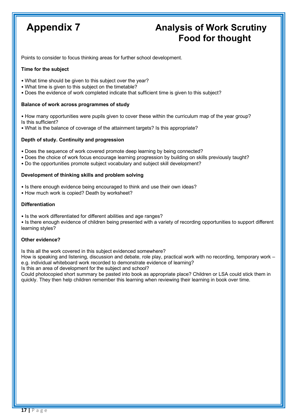## **Appendix 7 Analysis of Work Scrutiny Food for thought**

Points to consider to focus thinking areas for further school development.

#### **Time for the subject**

- What time should be given to this subject over the year?
- What time is given to this subject on the timetable?
- Does the evidence of work completed indicate that sufficient time is given to this subject?

#### **Balance of work across programmes of study**

• How many opportunities were pupils given to cover these within the curriculum map of the year group? Is this sufficient?

• What is the balance of coverage of the attainment targets? Is this appropriate?

#### **Depth of study. Continuity and progression**

- Does the sequence of work covered promote deep learning by being connected?
- Does the choice of work focus encourage learning progression by building on skills previously taught?
- Do the opportunities promote subject vocabulary and subject skill development?

#### **Development of thinking skills and problem solving**

- Is there enough evidence being encouraged to think and use their own ideas?
- How much work is copied? Death by worksheet?

#### **Differentiation**

• Is the work differentiated for different abilities and age ranges?

• Is there enough evidence of children being presented with a variety of recording opportunities to support different learning styles?

#### **Other evidence?**

Is this all the work covered in this subject evidenced somewhere?

How is speaking and listening, discussion and debate, role play, practical work with no recording, temporary work – e.g. individual whiteboard work recorded to demonstrate evidence of learning?

Is this an area of development for the subject and school?

Could photocopied short summary be pasted into book as appropriate place? Children or LSA could stick them in quickly. They then help children remember this learning when reviewing their learning in book over time.